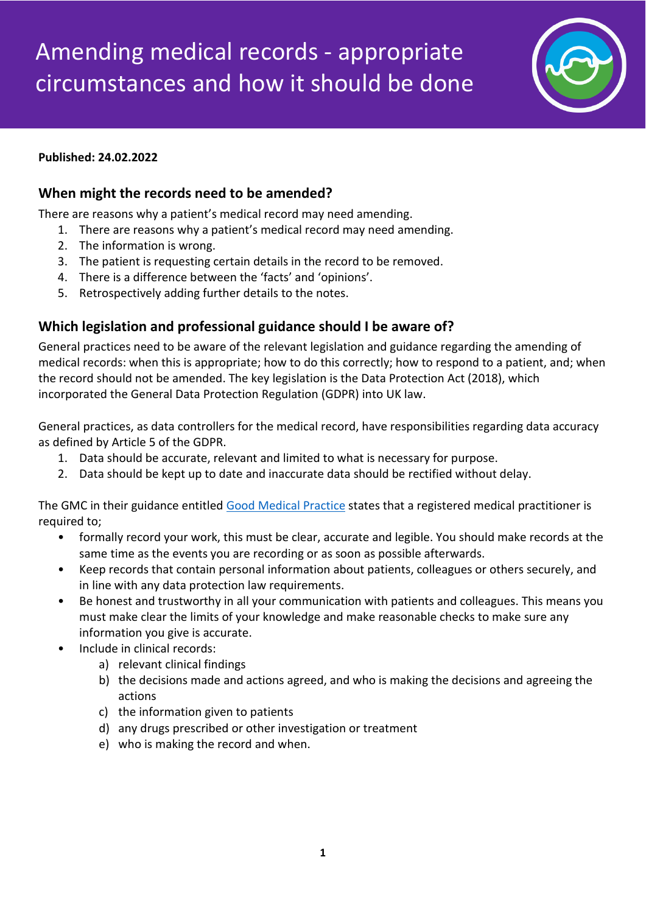

#### **Published: 24.02.2022**

### **When might the records need to be amended?**

There are reasons why a patient's medical record may need amending.

- 1. There are reasons why a patient's medical record may need amending.
- 2. The information is wrong.
- 3. The patient is requesting certain details in the record to be removed.
- 4. There is a difference between the 'facts' and 'opinions'.
- 5. Retrospectively adding further details to the notes.

# **Which legislation and professional guidance should I be aware of?**

General practices need to be aware of the relevant legislation and guidance regarding the amending of medical records: when this is appropriate; how to do this correctly; how to respond to a patient, and; when the record should not be amended. The key legislation is the Data Protection Act (2018), which incorporated the General Data Protection Regulation (GDPR) into UK law.

General practices, as data controllers for the medical record, have responsibilities regarding data accuracy as defined by Article 5 of the GDPR.

- 1. Data should be accurate, relevant and limited to what is necessary for purpose.
- 2. Data should be kept up to date and inaccurate data should be rectified without delay.

The GMC in their guidance entitled [Good Medical Practice](https://www.gmc-uk.org/ethical-guidance/ethical-guidance-for-doctors/good-medical-practice) states that a registered medical practitioner is required to;

- formally record your work, this must be clear, accurate and legible. You should make records at the same time as the events you are recording or as soon as possible afterwards.
- Keep records that contain personal information about patients, colleagues or others securely, and in line with any data protection law requirements.
- Be honest and trustworthy in all your communication with patients and colleagues. This means you must make clear the limits of your knowledge and make reasonable checks to make sure any information you give is accurate.
- Include in clinical records:
	- a) relevant clinical findings
	- b) the decisions made and actions agreed, and who is making the decisions and agreeing the actions
	- c) the information given to patients
	- d) any drugs prescribed or other investigation or treatment
	- e) who is making the record and when.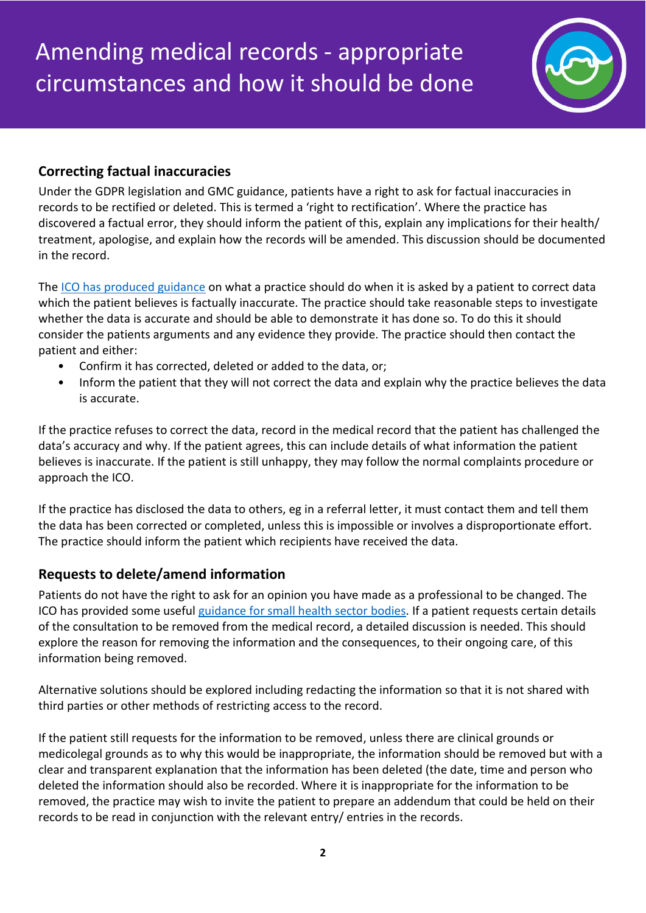

# **Correcting factual inaccuracies**

Under the GDPR legislation and GMC guidance, patients have a right to ask for factual inaccuracies in records to be rectified or deleted. This is termed a 'right to rectification'. Where the practice has discovered a factual error, they should inform the patient of this, explain any implications for their health/ treatment, apologise, and explain how the records will be amended. This discussion should be documented in the record.

The [ICO has produced guidance](https://ico.org.uk/for-organisations/guide-to-data-protection/guide-to-the-general-data-protection-regulation-gdpr/individual-rights/right-to-rectification/) on what a practice should do when it is asked by a patient to correct data which the patient believes is factually inaccurate. The practice should take reasonable steps to investigate whether the data is accurate and should be able to demonstrate it has done so. To do this it should consider the patients arguments and any evidence they provide. The practice should then contact the patient and either:

- Confirm it has corrected, deleted or added to the data, or;
- Inform the patient that they will not correct the data and explain why the practice believes the data is accurate.

If the practice refuses to correct the data, record in the medical record that the patient has challenged the data's accuracy and why. If the patient agrees, this can include details of what information the patient believes is inaccurate. If the patient is still unhappy, they may follow the normal complaints procedure or approach the ICO.

If the practice has disclosed the data to others, eg in a referral letter, it must contact them and tell them the data has been corrected or completed, unless this is impossible or involves a disproportionate effort. The practice should inform the patient which recipients have received the data.

# **Requests to delete/amend information**

Patients do not have the right to ask for an opinion you have made as a professional to be changed. The ICO has provided some useful [guidance for small health sector](https://ico.org.uk/for-organisations/guide-to-data-protection/guide-to-the-general-data-protection-regulation-gdpr/individual-rights/right-to-rectification/) bodies. If a patient requests certain details of the consultation to be removed from the medical record, a detailed discussion is needed. This should explore the reason for removing the information and the consequences, to their ongoing care, of this information being removed.

Alternative solutions should be explored including redacting the information so that it is not shared with third parties or other methods of restricting access to the record.

If the patient still requests for the information to be removed, unless there are clinical grounds or medicolegal grounds as to why this would be inappropriate, the information should be removed but with a clear and transparent explanation that the information has been deleted (the date, time and person who deleted the information should also be recorded. Where it is inappropriate for the information to be removed, the practice may wish to invite the patient to prepare an addendum that could be held on their records to be read in conjunction with the relevant entry/ entries in the records.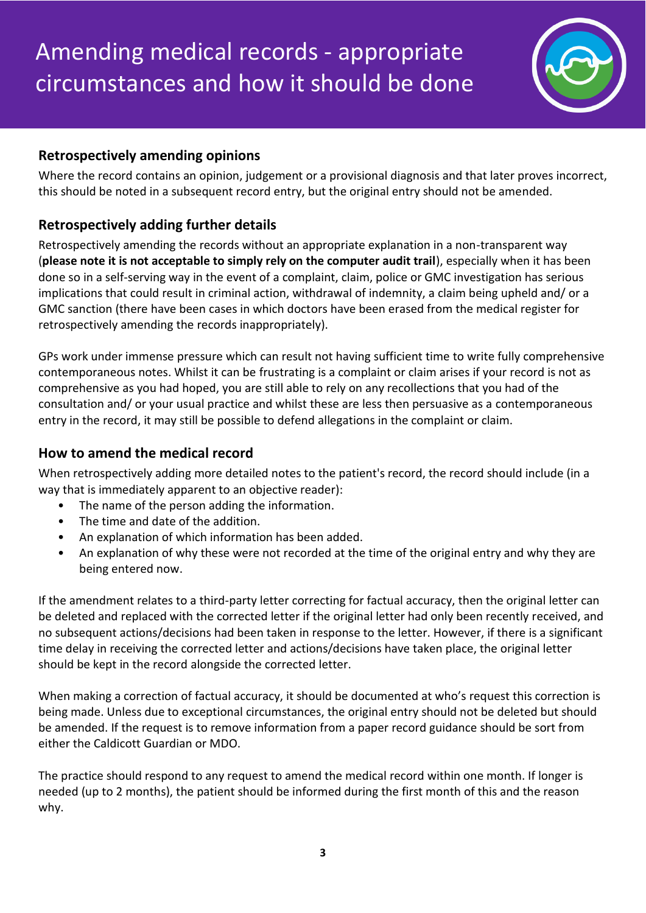

# **Retrospectively amending opinions**

Where the record contains an opinion, judgement or a provisional diagnosis and that later proves incorrect, this should be noted in a subsequent record entry, but the original entry should not be amended.

# **Retrospectively adding further details**

Retrospectively amending the records without an appropriate explanation in a non-transparent way (**please note it is not acceptable to simply rely on the computer audit trail**), especially when it has been done so in a self-serving way in the event of a complaint, claim, police or GMC investigation has serious implications that could result in criminal action, withdrawal of indemnity, a claim being upheld and/ or a GMC sanction (there have been cases in which doctors have been erased from the medical register for retrospectively amending the records inappropriately).

GPs work under immense pressure which can result not having sufficient time to write fully comprehensive contemporaneous notes. Whilst it can be frustrating is a complaint or claim arises if your record is not as comprehensive as you had hoped, you are still able to rely on any recollections that you had of the consultation and/ or your usual practice and whilst these are less then persuasive as a contemporaneous entry in the record, it may still be possible to defend allegations in the complaint or claim.

# **How to amend the medical record**

When retrospectively adding more detailed notes to the patient's record, the record should include (in a way that is immediately apparent to an objective reader):

- The name of the person adding the information.
- The time and date of the addition.
- An explanation of which information has been added.
- An explanation of why these were not recorded at the time of the original entry and why they are being entered now.

If the amendment relates to a third-party letter correcting for factual accuracy, then the original letter can be deleted and replaced with the corrected letter if the original letter had only been recently received, and no subsequent actions/decisions had been taken in response to the letter. However, if there is a significant time delay in receiving the corrected letter and actions/decisions have taken place, the original letter should be kept in the record alongside the corrected letter.

When making a correction of factual accuracy, it should be documented at who's request this correction is being made. Unless due to exceptional circumstances, the original entry should not be deleted but should be amended. If the request is to remove information from a paper record guidance should be sort from either the Caldicott Guardian or MDO.

The practice should respond to any request to amend the medical record within one month. If longer is needed (up to 2 months), the patient should be informed during the first month of this and the reason why.